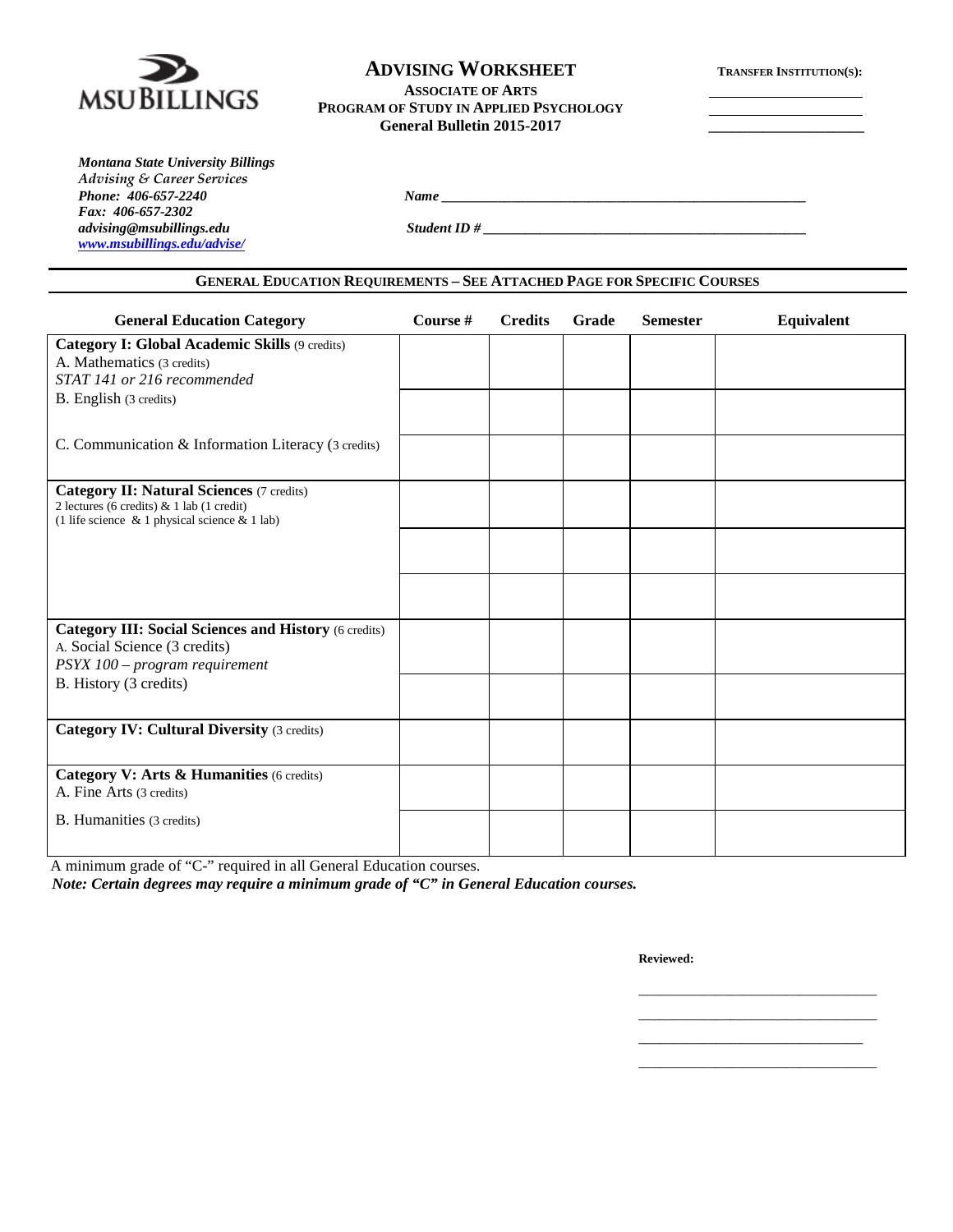

## **ADVISING WORKSHEET TRANSFER INSTITUTION(S):**

### **ASSOCIATE OF ARTS PROGRAM OF STUDY IN APPLIED PSYCHOLOGY General Bulletin 2015-2017 \_\_\_\_\_\_\_\_\_\_\_\_\_\_\_\_\_\_\_\_**

| <b>Montana State University Billings</b> |  |
|------------------------------------------|--|
| <b>Advising &amp; Career Services</b>    |  |
| Phone: 406-657-2240                      |  |
| Fax: 406-657-2302                        |  |
| advising@msubillings.edu                 |  |
| www.msubillings.edu/advise/              |  |

*advising@msubillings.edu Student ID # \_\_\_\_\_\_\_\_\_\_\_\_\_\_\_\_\_\_\_\_\_\_\_\_\_\_\_\_\_\_\_\_\_\_\_\_\_\_\_\_\_\_\_\_\_\_*

*Phone: 406-657-2240 Name \_\_\_\_\_\_\_\_\_\_\_\_\_\_\_\_\_\_\_\_\_\_\_\_\_\_\_\_\_\_\_\_\_\_\_\_\_\_\_\_\_\_\_\_\_\_\_\_\_\_\_\_*

| Course # | <b>Credits</b> | Grade | <b>Semester</b> | Equivalent |
|----------|----------------|-------|-----------------|------------|
|          |                |       |                 |            |
|          |                |       |                 |            |
|          |                |       |                 |            |
|          |                |       |                 |            |
|          |                |       |                 |            |
|          |                |       |                 |            |
|          |                |       |                 |            |
|          |                |       |                 |            |
|          |                |       |                 |            |
|          |                |       |                 |            |
|          |                |       |                 |            |
|          |                |       |                 |            |

A minimum grade of "C-" required in all General Education courses.

*Note: Certain degrees may require a minimum grade of "C" in General Education courses.*

**Reviewed:**

\_\_\_\_\_\_\_\_\_\_\_\_\_\_\_\_\_\_\_\_\_\_\_\_\_\_\_\_\_\_\_\_ \_\_\_\_\_\_\_\_\_\_\_\_\_\_\_\_\_\_\_\_\_\_\_\_\_\_\_\_\_\_\_\_\_\_

\_\_\_\_\_\_\_\_\_\_\_\_\_\_\_\_\_\_\_\_\_\_\_\_\_\_\_\_\_\_\_\_\_\_ \_\_\_\_\_\_\_\_\_\_\_\_\_\_\_\_\_\_\_\_\_\_\_\_\_\_\_\_\_\_\_\_\_\_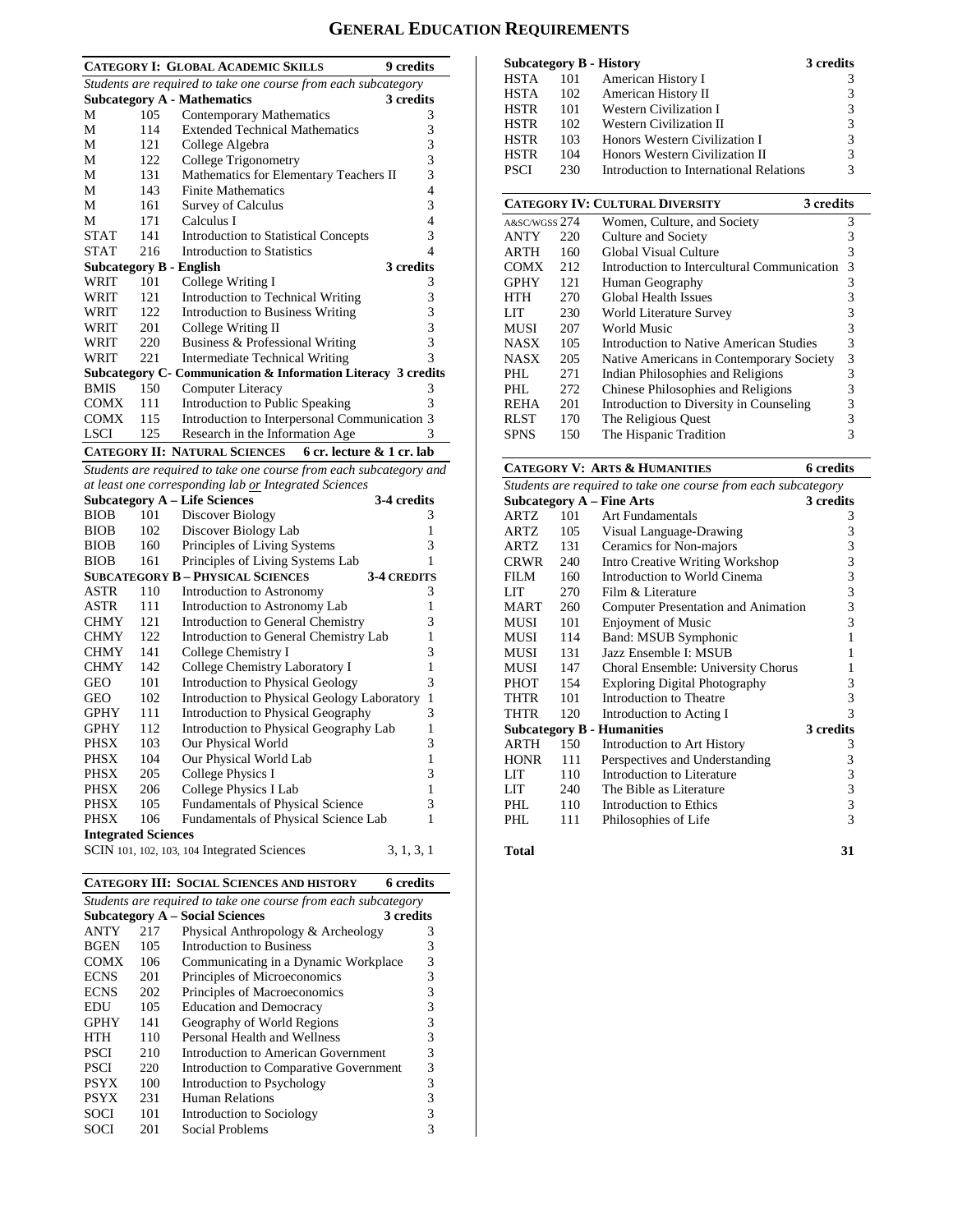# **GENERAL EDUCATION REQUIREMENTS**

|             |                                                                | <b>CATEGORY I: GLOBAL ACADEMIC SKILLS</b>                          | 9 credits      |  |  |
|-------------|----------------------------------------------------------------|--------------------------------------------------------------------|----------------|--|--|
|             | Students are required to take one course from each subcategory |                                                                    |                |  |  |
|             |                                                                | <b>Subcategory A - Mathematics</b>                                 | 3 credits      |  |  |
| M           | 105                                                            | Contemporary Mathematics                                           | 3              |  |  |
| M           | 114                                                            | <b>Extended Technical Mathematics</b>                              | 3              |  |  |
| М           | 121                                                            | College Algebra                                                    | 3              |  |  |
| М           | 122                                                            | College Trigonometry                                               | 3              |  |  |
| M           | 131                                                            | Mathematics for Elementary Teachers II                             | 3              |  |  |
| M           | 143                                                            | <b>Finite Mathematics</b>                                          | $\overline{4}$ |  |  |
| М           | 161                                                            | Survey of Calculus                                                 | 3              |  |  |
| M           | 171                                                            | Calculus I                                                         | 4              |  |  |
| <b>STAT</b> | 141                                                            | <b>Introduction to Statistical Concepts</b>                        | 3              |  |  |
| <b>STAT</b> | 216                                                            | Introduction to Statistics                                         | 4              |  |  |
|             |                                                                | Subcategory B - English                                            | 3 credits      |  |  |
| WRIT        | 101                                                            | College Writing I                                                  | 3              |  |  |
| WRIT        | 121                                                            | Introduction to Technical Writing                                  | 3              |  |  |
| WRIT        | 122                                                            | <b>Introduction to Business Writing</b>                            | 3              |  |  |
| WRIT        | 201                                                            | College Writing II                                                 | 3              |  |  |
| WRIT        | 220                                                            | Business & Professional Writing                                    | 3              |  |  |
| WRIT        | 221                                                            | <b>Intermediate Technical Writing</b>                              | $\mathcal{R}$  |  |  |
|             |                                                                | Subcategory C- Communication & Information Literacy 3 credits      |                |  |  |
| <b>BMIS</b> | 150                                                            | Computer Literacy                                                  | 3              |  |  |
| COMX        | 111                                                            | Introduction to Public Speaking                                    | 3              |  |  |
| <b>COMX</b> | 115                                                            | Introduction to Interpersonal Communication 3                      |                |  |  |
| <b>LSCI</b> | 125                                                            | Research in the Information Age                                    | 3              |  |  |
|             |                                                                | 6 cr. lecture & 1 cr. lab<br><b>CATEGORY II: NATURAL SCIENCES</b>  |                |  |  |
|             |                                                                | Students are required to take one course from each subcategory and |                |  |  |

|                            |     | at least one corresponding lab or Integrated Sciences |                    |
|----------------------------|-----|-------------------------------------------------------|--------------------|
|                            |     | <b>Subcategory A - Life Sciences</b>                  | 3-4 credits        |
| <b>BIOB</b>                | 101 | Discover Biology                                      | 3                  |
| <b>BIOB</b>                | 102 | Discover Biology Lab                                  | 1                  |
| <b>BIOB</b>                | 160 | Principles of Living Systems                          | 3                  |
| <b>BIOB</b>                | 161 | Principles of Living Systems Lab                      | 1                  |
|                            |     | <b>SUBCATEGORY B - PHYSICAL SCIENCES</b>              | <b>3-4 CREDITS</b> |
| ASTR                       | 110 | Introduction to Astronomy                             | 3                  |
| ASTR                       | 111 | Introduction to Astronomy Lab                         | 1                  |
| <b>CHMY</b>                | 121 | <b>Introduction to General Chemistry</b>              | 3                  |
| <b>CHMY</b>                | 122 | Introduction to General Chemistry Lab                 | $\mathbf{1}$       |
| <b>CHMY</b>                | 141 | College Chemistry I                                   | 3                  |
| <b>CHMY</b>                | 142 | College Chemistry Laboratory I                        | $\mathbf{1}$       |
| <b>GEO</b>                 | 101 | <b>Introduction to Physical Geology</b>               | 3                  |
| <b>GEO</b>                 | 102 | <b>Introduction to Physical Geology Laboratory</b>    | $\mathbf{1}$       |
| <b>GPHY</b>                | 111 | Introduction to Physical Geography                    | 3                  |
| <b>GPHY</b>                | 112 | Introduction to Physical Geography Lab                | 1                  |
| <b>PHSX</b>                | 103 | Our Physical World                                    | 3                  |
| <b>PHSX</b>                | 104 | Our Physical World Lab                                | $\mathbf{1}$       |
| <b>PHSX</b>                | 205 | College Physics I                                     | 3                  |
| <b>PHSX</b>                | 206 | College Physics I Lab                                 | $\mathbf{1}$       |
| <b>PHSX</b>                | 105 | <b>Fundamentals of Physical Science</b>               | 3                  |
| <b>PHSX</b>                | 106 | Fundamentals of Physical Science Lab                  | 1                  |
| <b>Integrated Sciences</b> |     |                                                       |                    |
|                            |     | SCIN 101, 102, 103, 104 Integrated Sciences           | 3, 1, 3, 1         |

**CATEGORY III: SOCIAL SCIENCES AND HISTORY 6 credits**

| Students are required to take one course from each subcategory |     |                                        |           |
|----------------------------------------------------------------|-----|----------------------------------------|-----------|
|                                                                |     | <b>Subcategory A – Social Sciences</b> | 3 credits |
| <b>ANTY</b>                                                    | 217 | Physical Anthropology & Archeology     | 3         |
| <b>BGEN</b>                                                    | 105 | Introduction to Business               | 3         |
| <b>COMX</b>                                                    | 106 | Communicating in a Dynamic Workplace   | 3         |
| <b>ECNS</b>                                                    | 201 | Principles of Microeconomics           | 3         |
| <b>ECNS</b>                                                    | 202 | Principles of Macroeconomics           | 3         |
| EDU                                                            | 105 | <b>Education and Democracy</b>         | 3         |
| <b>GPHY</b>                                                    | 141 | Geography of World Regions             | 3         |
| HTH                                                            | 110 | Personal Health and Wellness           | 3         |
| <b>PSCI</b>                                                    | 210 | Introduction to American Government    | 3         |
| <b>PSCI</b>                                                    | 220 | Introduction to Comparative Government | 3         |
| <b>PSYX</b>                                                    | 100 | Introduction to Psychology             | 3         |
| <b>PSYX</b>                                                    | 231 | <b>Human Relations</b>                 | 3         |
| SOCI                                                           | 101 | Introduction to Sociology              | 3         |
| SOCI                                                           | 201 | Social Problems                        |           |

| <b>Subcategory B - History</b> |     |                                         | 3 credits |
|--------------------------------|-----|-----------------------------------------|-----------|
| <b>HSTA</b>                    | 101 | American History I                      |           |
| <b>HSTA</b>                    | 102 | American History II                     | 3         |
| <b>HSTR</b>                    | 101 | Western Civilization I                  | 3         |
| <b>HSTR</b>                    | 102 | Western Civilization II                 | 3         |
| <b>HSTR</b>                    | 103 | Honors Western Civilization I           | 3         |
| <b>HSTR</b>                    | 104 | Honors Western Civilization II          | 3         |
| <b>PSCI</b>                    | 230 | Introduction to International Relations | 3         |
|                                |     | <b>CATEGORY IV: CULTURAL DIVERSITY</b>  | 3 credits |

| A&SC/WGSS 274 |     | Women, Culture, and Society                 | 3 |
|---------------|-----|---------------------------------------------|---|
| <b>ANTY</b>   | 220 | Culture and Society                         | 3 |
| <b>ARTH</b>   | 160 | Global Visual Culture                       | 3 |
| <b>COMX</b>   | 212 | Introduction to Intercultural Communication | 3 |
| <b>GPHY</b>   | 121 | Human Geography                             | 3 |
| HTH           | 270 | Global Health Issues                        |   |
| LIT           | 230 | World Literature Survey                     | 3 |
| <b>MUSI</b>   | 207 | World Music                                 | 3 |
| <b>NASX</b>   | 105 | Introduction to Native American Studies     | 3 |
| <b>NASX</b>   | 205 | Native Americans in Contemporary Society    | 3 |
| PHL.          | 271 | Indian Philosophies and Religions           | 3 |
| PHL           | 272 | Chinese Philosophies and Religions          | 3 |
| <b>REHA</b>   | 201 | Introduction to Diversity in Counseling     | 3 |
| <b>RLST</b>   | 170 | The Religious Quest                         | 3 |
| <b>SPNS</b>   | 150 | The Hispanic Tradition                      |   |
|               |     |                                             |   |

|             |     | <b>CATEGORY V: ARTS &amp; HUMANITIES</b>                       | <b>6</b> credits |
|-------------|-----|----------------------------------------------------------------|------------------|
|             |     | Students are required to take one course from each subcategory |                  |
|             |     | <b>Subcategory A – Fine Arts</b>                               | 3 credits        |
| ARTZ        | 101 | Art Fundamentals                                               | 3                |
| ARTZ.       | 105 | Visual Language-Drawing                                        | 3                |
| ARTZ.       | 131 | Ceramics for Non-majors                                        | 3                |
| CRWR        | 240 | <b>Intro Creative Writing Workshop</b>                         | 3                |
| FILM        | 160 | Introduction to World Cinema                                   | 3                |
| LIT         | 270 | Film & Literature                                              | 3                |
| <b>MART</b> | 260 | Computer Presentation and Animation                            | 3                |
| MUSI        | 101 | <b>Enjoyment of Music</b>                                      | 3                |
| MUSI        | 114 | <b>Band: MSUB Symphonic</b>                                    | 1                |
| MUSI        | 131 | Jazz Ensemble I: MSUB                                          | 1                |
| MUSI        | 147 | Choral Ensemble: University Chorus                             | 1                |
| PHOT        | 154 | <b>Exploring Digital Photography</b>                           | 3                |
| THTR        | 101 | Introduction to Theatre                                        | 3                |
| THTR        | 120 | Introduction to Acting I                                       | 3                |
|             |     | <b>Subcategory B - Humanities</b>                              | 3 credits        |
| ARTH        | 150 | Introduction to Art History                                    | 3                |
| <b>HONR</b> | 111 | Perspectives and Understanding                                 | 3                |
| LIT         | 110 | Introduction to Literature                                     | 3                |
| LIT.        | 240 | The Bible as Literature                                        | 3                |
| PHL.        | 110 | Introduction to Ethics                                         | $\frac{3}{3}$    |
| PHL.        | 111 | Philosophies of Life                                           |                  |
|             |     |                                                                |                  |

```
Total 31
```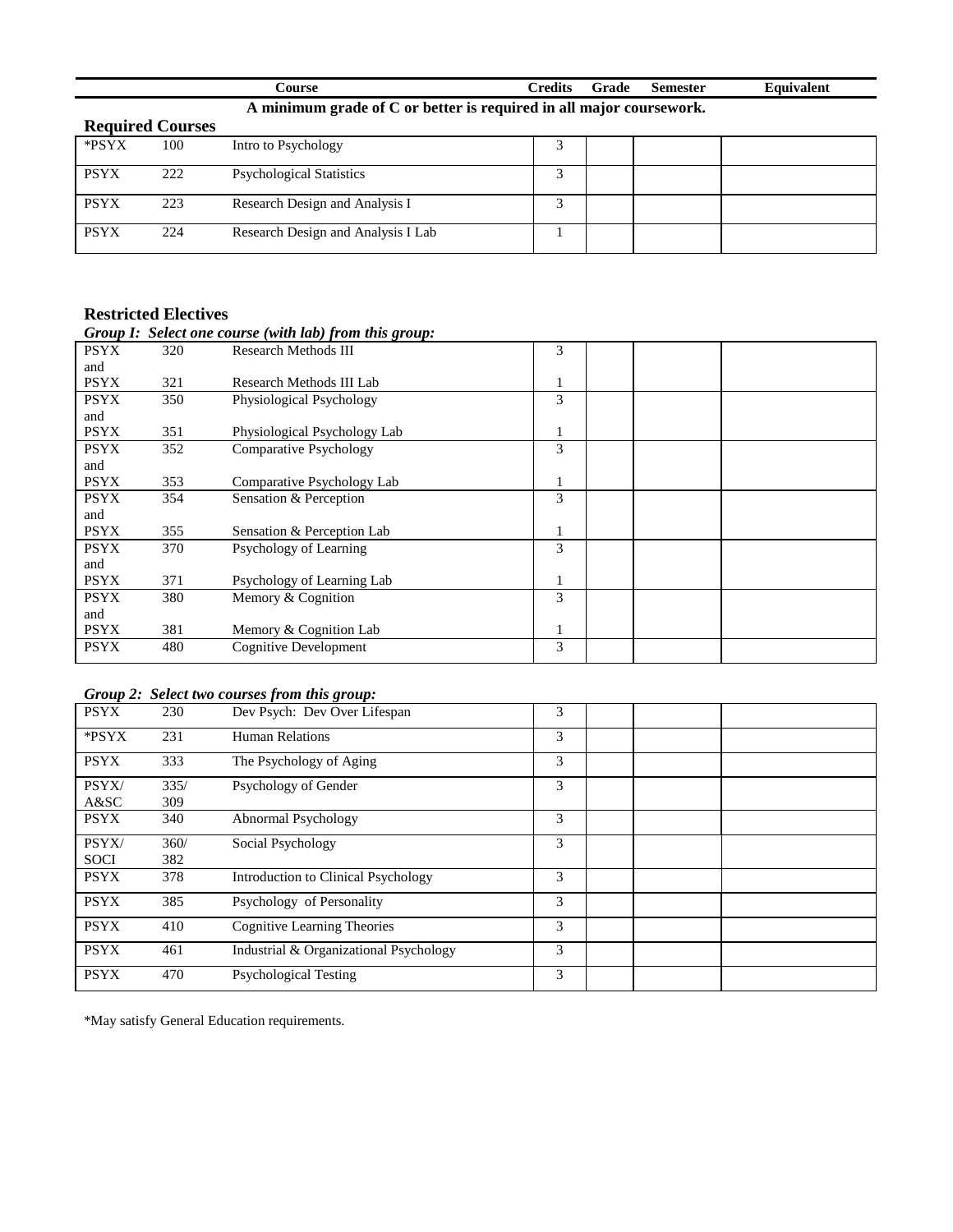|                  | .`ourse                                                             | Credits | Grade | Semester | Equivalent |
|------------------|---------------------------------------------------------------------|---------|-------|----------|------------|
|                  | A minimum grade of C or better is required in all major coursework. |         |       |          |            |
| Dogwired Courses |                                                                     |         |       |          |            |

| <b>Required Courses</b> |     |                                    |  |  |
|-------------------------|-----|------------------------------------|--|--|
| *PSYX                   | 100 | Intro to Psychology                |  |  |
| <b>PSYX</b>             | 222 | <b>Psychological Statistics</b>    |  |  |
| <b>PSYX</b>             | 223 | Research Design and Analysis I     |  |  |
| <b>PSYX</b>             | 224 | Research Design and Analysis I Lab |  |  |

| Group I: Select one course (with lab) from this group:<br>Research Methods III<br>320<br>321<br>Research Methods III Lab<br>350<br>Physiological Psychology<br>351<br>Physiological Psychology Lab | 3<br>1<br>3                                          |  |
|----------------------------------------------------------------------------------------------------------------------------------------------------------------------------------------------------|------------------------------------------------------|--|
|                                                                                                                                                                                                    |                                                      |  |
|                                                                                                                                                                                                    |                                                      |  |
|                                                                                                                                                                                                    |                                                      |  |
|                                                                                                                                                                                                    |                                                      |  |
|                                                                                                                                                                                                    |                                                      |  |
|                                                                                                                                                                                                    |                                                      |  |
|                                                                                                                                                                                                    |                                                      |  |
| <b>Comparative Psychology</b><br>352                                                                                                                                                               | 3                                                    |  |
|                                                                                                                                                                                                    |                                                      |  |
| Comparative Psychology Lab                                                                                                                                                                         |                                                      |  |
| Sensation & Perception                                                                                                                                                                             | 3                                                    |  |
|                                                                                                                                                                                                    |                                                      |  |
| Sensation & Perception Lab                                                                                                                                                                         | 1                                                    |  |
| Psychology of Learning                                                                                                                                                                             | 3                                                    |  |
|                                                                                                                                                                                                    |                                                      |  |
| Psychology of Learning Lab                                                                                                                                                                         | 1                                                    |  |
| Memory & Cognition                                                                                                                                                                                 | 3                                                    |  |
|                                                                                                                                                                                                    |                                                      |  |
| Memory & Cognition Lab                                                                                                                                                                             | 1                                                    |  |
| Cognitive Development                                                                                                                                                                              | 3                                                    |  |
|                                                                                                                                                                                                    | 353<br>354<br>355<br>370<br>371<br>380<br>381<br>480 |  |

# *Group 2: Select two courses from this group:*

| <b>PSYX</b> | 230  | Dev Psych: Dev Over Lifespan           | 3 |  |
|-------------|------|----------------------------------------|---|--|
| *PSYX       | 231  | Human Relations                        | 3 |  |
| <b>PSYX</b> | 333  | The Psychology of Aging                | 3 |  |
| PSYX/       | 335/ | Psychology of Gender                   | 3 |  |
| A&SC        | 309  |                                        |   |  |
| <b>PSYX</b> | 340  | Abnormal Psychology                    | 3 |  |
| PSYX/       | 360/ | Social Psychology                      | 3 |  |
| <b>SOCI</b> | 382  |                                        |   |  |
| <b>PSYX</b> | 378  | Introduction to Clinical Psychology    | 3 |  |
| <b>PSYX</b> | 385  | Psychology of Personality              | 3 |  |
| <b>PSYX</b> | 410  | <b>Cognitive Learning Theories</b>     | 3 |  |
| <b>PSYX</b> | 461  | Industrial & Organizational Psychology | 3 |  |
| <b>PSYX</b> | 470  | <b>Psychological Testing</b>           | 3 |  |

\*May satisfy General Education requirements.